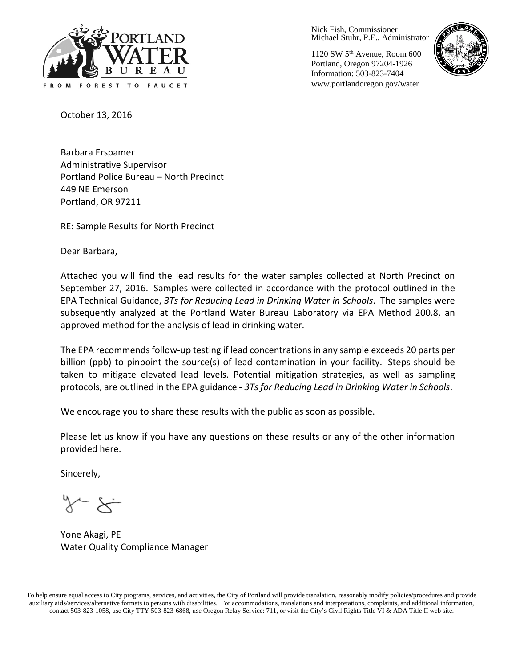

Nick Fish, Commissioner Michael Stuhr, P.E., Administrator

1120 SW 5th Avenue, Room 600 Portland, Oregon 97204-1926 Information: 503-823-7404 www.portlandoregon.gov/water



October 13, 2016

Barbara Erspamer Administrative Supervisor Portland Police Bureau – North Precinct 449 NE Emerson Portland, OR 97211

RE: Sample Results for North Precinct

Dear Barbara,

Attached you will find the lead results for the water samples collected at North Precinct on September 27, 2016. Samples were collected in accordance with the protocol outlined in the EPA Technical Guidance, *3Ts for Reducing Lead in Drinking Water in Schools*. The samples were subsequently analyzed at the Portland Water Bureau Laboratory via EPA Method 200.8, an approved method for the analysis of lead in drinking water.

The EPA recommends follow-up testing if lead concentrations in any sample exceeds 20 parts per billion (ppb) to pinpoint the source(s) of lead contamination in your facility. Steps should be taken to mitigate elevated lead levels. Potential mitigation strategies, as well as sampling protocols, are outlined in the EPA guidance - *3Ts for Reducing Lead in Drinking Water in Schools*.

We encourage you to share these results with the public as soon as possible.

Please let us know if you have any questions on these results or any of the other information provided here.

Sincerely,

Yone Akagi, PE Water Quality Compliance Manager

To help ensure equal access to City programs, services, and activities, the City of Portland will provide translation, reasonably modify policies/procedures and provide auxiliary aids/services/alternative formats to persons with disabilities. For accommodations, translations and interpretations, complaints, and additional information, contact 503-823-1058, use City TTY 503-823-6868, use Oregon Relay Service: 711, or visi[t the City's Civil Rights Title VI & ADA Title II web site.](http://www.portlandoregon.gov/oehr/66458)